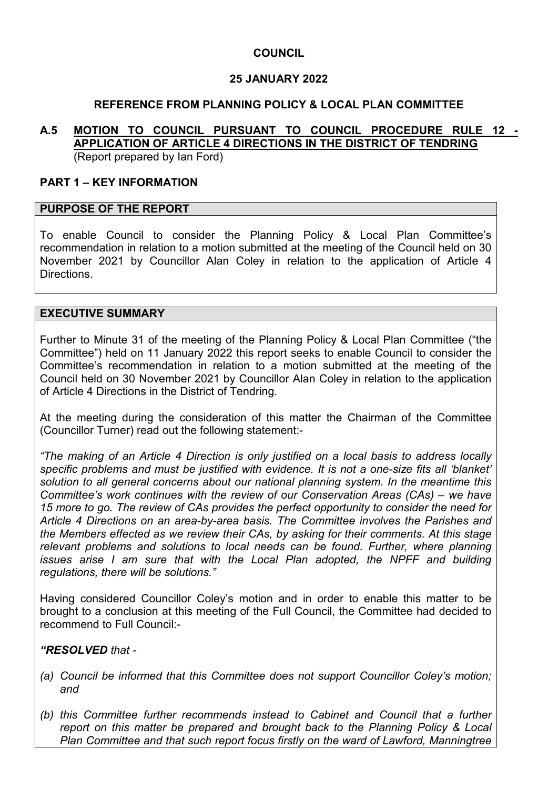# **COUNCIL**

# **25 JANUARY 2022**

# **REFERENCE FROM PLANNING POLICY & LOCAL PLAN COMMITTEE**

#### **A.5 MOTION TO COUNCIL PURSUANT TO COUNCIL PROCEDURE RULE 12 - APPLICATION OF ARTICLE 4 DIRECTIONS IN THE DISTRICT OF TENDRING**  (Report prepared by Ian Ford)

### **PART 1 – KEY INFORMATION**

### **PURPOSE OF THE REPORT**

To enable Council to consider the Planning Policy & Local Plan Committee's recommendation in relation to a motion submitted at the meeting of the Council held on 30 November 2021 by Councillor Alan Coley in relation to the application of Article 4 **Directions** 

### **EXECUTIVE SUMMARY**

Further to Minute 31 of the meeting of the Planning Policy & Local Plan Committee ("the Committee") held on 11 January 2022 this report seeks to enable Council to consider the Committee's recommendation in relation to a motion submitted at the meeting of the Council held on 30 November 2021 by Councillor Alan Coley in relation to the application of Article 4 Directions in the District of Tendring.

At the meeting during the consideration of this matter the Chairman of the Committee (Councillor Turner) read out the following statement:-

*"The making of an Article 4 Direction is only justified on a local basis to address locally specific problems and must be justified with evidence. It is not a one-size fits all 'blanket' solution to all general concerns about our national planning system. In the meantime this Committee's work continues with the review of our Conservation Areas (CAs) – we have 15 more to go. The review of CAs provides the perfect opportunity to consider the need for Article 4 Directions on an area-by-area basis. The Committee involves the Parishes and the Members effected as we review their CAs, by asking for their comments. At this stage*  relevant problems and solutions to local needs can be found. Further, where planning *issues arise I am sure that with the Local Plan adopted, the NPFF and building regulations, there will be solutions."* 

Having considered Councillor Coley's motion and in order to enable this matter to be brought to a conclusion at this meeting of the Full Council, the Committee had decided to recommend to Full Council:-

## *"RESOLVED that -*

- *(a) Council be informed that this Committee does not support Councillor Coley's motion; and*
- *(b) this Committee further recommends instead to Cabinet and Council that a further report on this matter be prepared and brought back to the Planning Policy & Local Plan Committee and that such report focus firstly on the ward of Lawford, Manningtree*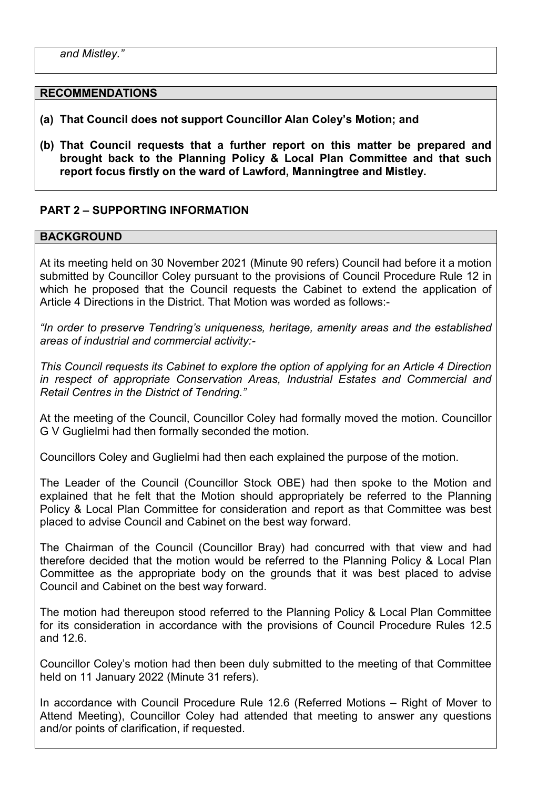#### **RECOMMENDATIONS**

- **(a) That Council does not support Councillor Alan Coley's Motion; and**
- **(b) That Council requests that a further report on this matter be prepared and brought back to the Planning Policy & Local Plan Committee and that such report focus firstly on the ward of Lawford, Manningtree and Mistley.**

# **PART 2 – SUPPORTING INFORMATION**

### **BACKGROUND**

At its meeting held on 30 November 2021 (Minute 90 refers) Council had before it a motion submitted by Councillor Coley pursuant to the provisions of Council Procedure Rule 12 in which he proposed that the Council requests the Cabinet to extend the application of Article 4 Directions in the District. That Motion was worded as follows:-

*"In order to preserve Tendring's uniqueness, heritage, amenity areas and the established areas of industrial and commercial activity:-* 

*This Council requests its Cabinet to explore the option of applying for an Article 4 Direction in respect of appropriate Conservation Areas, Industrial Estates and Commercial and Retail Centres in the District of Tendring."* 

At the meeting of the Council, Councillor Coley had formally moved the motion. Councillor G V Guglielmi had then formally seconded the motion.

Councillors Coley and Guglielmi had then each explained the purpose of the motion.

The Leader of the Council (Councillor Stock OBE) had then spoke to the Motion and explained that he felt that the Motion should appropriately be referred to the Planning Policy & Local Plan Committee for consideration and report as that Committee was best placed to advise Council and Cabinet on the best way forward.

The Chairman of the Council (Councillor Bray) had concurred with that view and had therefore decided that the motion would be referred to the Planning Policy & Local Plan Committee as the appropriate body on the grounds that it was best placed to advise Council and Cabinet on the best way forward.

The motion had thereupon stood referred to the Planning Policy & Local Plan Committee for its consideration in accordance with the provisions of Council Procedure Rules 12.5 and 12.6.

Councillor Coley's motion had then been duly submitted to the meeting of that Committee held on 11 January 2022 (Minute 31 refers).

In accordance with Council Procedure Rule 12.6 (Referred Motions – Right of Mover to Attend Meeting), Councillor Coley had attended that meeting to answer any questions and/or points of clarification, if requested.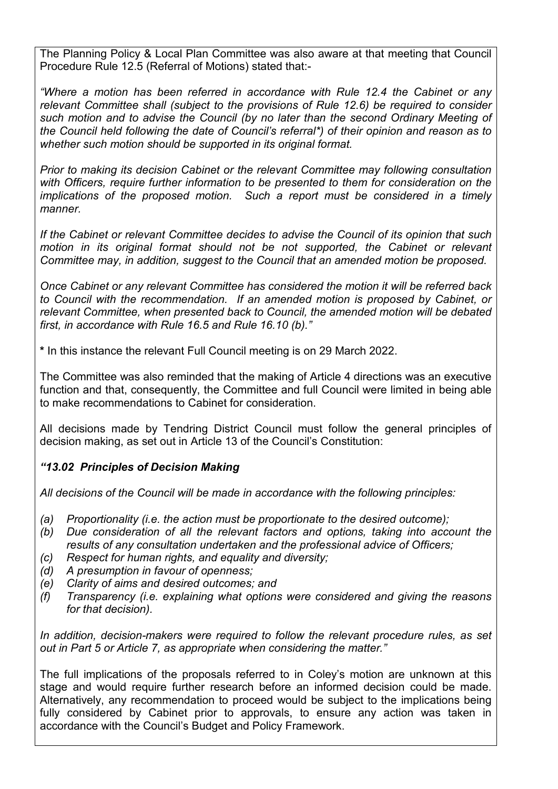The Planning Policy & Local Plan Committee was also aware at that meeting that Council Procedure Rule 12.5 (Referral of Motions) stated that:-

*"Where a motion has been referred in accordance with Rule 12.4 the Cabinet or any relevant Committee shall (subject to the provisions of Rule 12.6) be required to consider such motion and to advise the Council (by no later than the second Ordinary Meeting of the Council held following the date of Council's referral\*) of their opinion and reason as to whether such motion should be supported in its original format.* 

*Prior to making its decision Cabinet or the relevant Committee may following consultation with Officers, require further information to be presented to them for consideration on the implications of the proposed motion. Such a report must be considered in a timely manner.* 

*If the Cabinet or relevant Committee decides to advise the Council of its opinion that such motion in its original format should not be not supported, the Cabinet or relevant Committee may, in addition, suggest to the Council that an amended motion be proposed.* 

*Once Cabinet or any relevant Committee has considered the motion it will be referred back to Council with the recommendation. If an amended motion is proposed by Cabinet, or relevant Committee, when presented back to Council, the amended motion will be debated first, in accordance with Rule 16.5 and Rule 16.10 (b)."* 

**\*** In this instance the relevant Full Council meeting is on 29 March 2022.

The Committee was also reminded that the making of Article 4 directions was an executive function and that, consequently, the Committee and full Council were limited in being able to make recommendations to Cabinet for consideration.

All decisions made by Tendring District Council must follow the general principles of decision making, as set out in Article 13 of the Council's Constitution:

## *"13.02 Principles of Decision Making*

*All decisions of the Council will be made in accordance with the following principles:* 

- *(a) Proportionality (i.e. the action must be proportionate to the desired outcome);*
- *(b) Due consideration of all the relevant factors and options, taking into account the results of any consultation undertaken and the professional advice of Officers;*
- *(c) Respect for human rights, and equality and diversity;*
- *(d) A presumption in favour of openness;*
- *(e) Clarity of aims and desired outcomes; and*
- *(f) Transparency (i.e. explaining what options were considered and giving the reasons for that decision).*

*In addition, decision-makers were required to follow the relevant procedure rules, as set out in Part 5 or Article 7, as appropriate when considering the matter."* 

The full implications of the proposals referred to in Coley's motion are unknown at this stage and would require further research before an informed decision could be made. Alternatively, any recommendation to proceed would be subject to the implications being fully considered by Cabinet prior to approvals, to ensure any action was taken in accordance with the Council's Budget and Policy Framework.